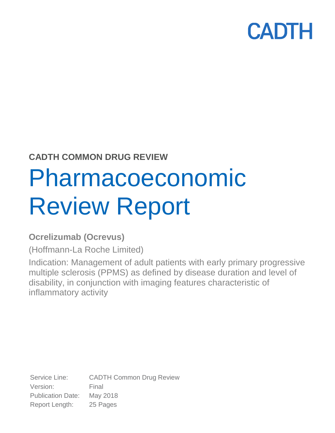## **CADTH COMMON DRUG REVIEW**

# Pharmacoeconomic Review Report

## **Ocrelizumab (Ocrevus)**

(Hoffmann-La Roche Limited)

Indication: Management of adult patients with early primary progressive multiple sclerosis (PPMS) as defined by disease duration and level of disability, in conjunction with imaging features characteristic of inflammatory activity

Service Line: CADTH Common Drug Review Version: Final Publication Date: May 2018 Report Length: 25 Pages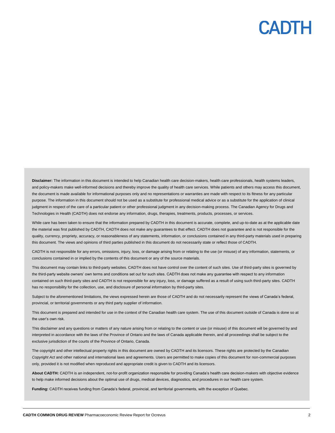Disclaimer: The information in this document is intended to help Canadian health care decision-makers, health care professionals, health systems leaders, and policy-makers make well-informed decisions and thereby improve the quality of health care services. While patients and others may access this document, the document is made available for informational purposes only and no representations or warranties are made with respect to its fitness for any particular purpose. The information in this document should not be used as a substitute for professional medical advice or as a substitute for the application of clinical judgment in respect of the care of a particular patient or other professional judgment in any decision-making process. The Canadian Agency for Drugs and Technologies in Health (CADTH) does not endorse any information, drugs, therapies, treatments, products, processes, or services.

While care has been taken to ensure that the information prepared by CADTH in this document is accurate, complete, and up-to-date as at the applicable date the material was first published by CADTH, CADTH does not make any guarantees to that effect. CADTH does not guarantee and is not responsible for the quality, currency, propriety, accuracy, or reasonableness of any statements, information, or conclusions contained in any third-party materials used in preparing this document. The views and opinions of third parties published in this document do not necessarily state or reflect those of CADTH.

CADTH is not responsible for any errors, omissions, injury, loss, or damage arising from or relating to the use (or misuse) of any information, statements, or conclusions contained in or implied by the contents of this document or any of the source materials.

This document may contain links to third-party websites. CADTH does not have control over the content of such sites. Use of third-party sites is governed by the third-party website owners' own terms and conditions set out for such sites. CADTH does not make any guarantee with respect to any information contained on such third-party sites and CADTH is not responsible for any injury, loss, or damage suffered as a result of using such third-party sites. CADTH has no responsibility for the collection, use, and disclosure of personal information by third-party sites.

Subject to the aforementioned limitations, the views expressed herein are those of CADTH and do not necessarily represent the views of Canada's federal, provincial, or territorial governments or any third party supplier of information.

This document is prepared and intended for use in the context of the Canadian health care system. The use of this document outside of Canada is done so at the user's own risk.

This disclaimer and any questions or matters of any nature arising from or relating to the content or use (or misuse) of this document will be governed by and interpreted in accordance with the laws of the Province of Ontario and the laws of Canada applicable therein, and all proceedings shall be subject to the exclusive jurisdiction of the courts of the Province of Ontario, Canada.

The copyright and other intellectual property rights in this document are owned by CADTH and its licensors. These rights are protected by the Canadian *Copyright Act* and other national and international laws and agreements. Users are permitted to make copies of this document for non-commercial purposes only, provided it is not modified when reproduced and appropriate credit is given to CADTH and its licensors.

**About CADTH:** CADTH is an independent, not-for-profit organization responsible for providing Canada's health care decision-makers with objective evidence to help make informed decisions about the optimal use of drugs, medical devices, diagnostics, and procedures in our health care system.

**Funding:** CADTH receives funding from Canada's federal, provincial, and territorial governments, with the exception of Quebec.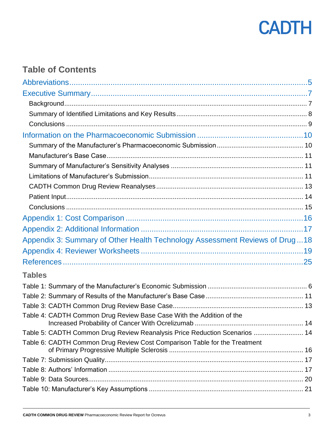

## **Table of Contents**

| Appendix 3: Summary of Other Health Technology Assessment Reviews of Drug  18 |  |
|-------------------------------------------------------------------------------|--|
|                                                                               |  |
|                                                                               |  |
| <b>Tables</b>                                                                 |  |
|                                                                               |  |
|                                                                               |  |
|                                                                               |  |
| Table 4: CADTH Common Drug Review Base Case With the Addition of the          |  |
| Table 5: CADTH Common Drug Review Reanalysis Price Reduction Scenarios  14    |  |
| Table 6: CADTH Common Drug Review Cost Comparison Table for the Treatment     |  |
|                                                                               |  |
|                                                                               |  |
|                                                                               |  |
|                                                                               |  |
|                                                                               |  |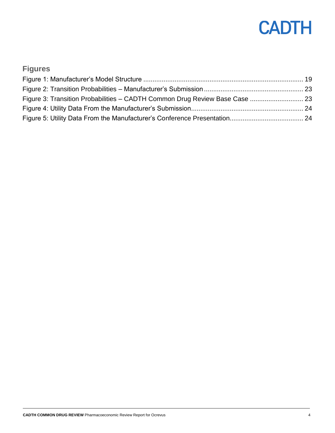| <b>Figures</b>                                                              |  |
|-----------------------------------------------------------------------------|--|
|                                                                             |  |
|                                                                             |  |
| Figure 3: Transition Probabilities - CADTH Common Drug Review Base Case  23 |  |
|                                                                             |  |
|                                                                             |  |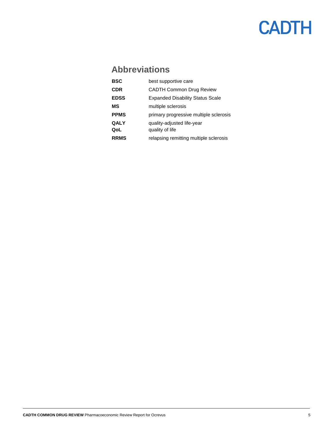## <span id="page-4-0"></span>**Abbreviations**

| <b>BSC</b>  | best supportive care                    |
|-------------|-----------------------------------------|
| <b>CDR</b>  | <b>CADTH Common Drug Review</b>         |
| <b>EDSS</b> | <b>Expanded Disability Status Scale</b> |
| МS          | multiple sclerosis                      |
| <b>PPMS</b> | primary progressive multiple sclerosis  |
| <b>QALY</b> | quality-adjusted life-year              |
| QoL         | quality of life                         |
| <b>RRMS</b> | relapsing remitting multiple sclerosis  |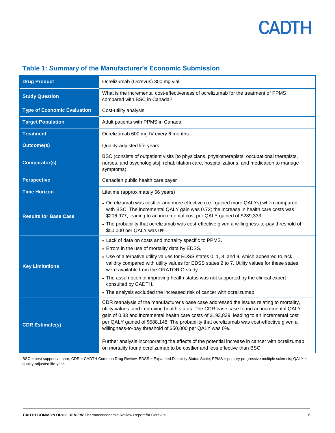| <b>Drug Product</b>                | Ocrelizumab (Ocrevus) 300 mg vial                                                                                                                                                                                                                                                                                                                                                                                                                                                                                                                  |
|------------------------------------|----------------------------------------------------------------------------------------------------------------------------------------------------------------------------------------------------------------------------------------------------------------------------------------------------------------------------------------------------------------------------------------------------------------------------------------------------------------------------------------------------------------------------------------------------|
| <b>Study Question</b>              | What is the incremental cost-effectiveness of ocrelizumab for the treatment of PPMS<br>compared with BSC in Canada?                                                                                                                                                                                                                                                                                                                                                                                                                                |
| <b>Type of Economic Evaluation</b> | Cost-utility analysis                                                                                                                                                                                                                                                                                                                                                                                                                                                                                                                              |
| <b>Target Population</b>           | Adult patients with PPMS in Canada                                                                                                                                                                                                                                                                                                                                                                                                                                                                                                                 |
| <b>Treatment</b>                   | Ocrelizumab 600 mg IV every 6 months                                                                                                                                                                                                                                                                                                                                                                                                                                                                                                               |
| <b>Outcome(s)</b>                  | Quality-adjusted life-years                                                                                                                                                                                                                                                                                                                                                                                                                                                                                                                        |
| <b>Comparator(s)</b>               | BSC (consists of outpatient visits [to physicians, physiotherapists, occupational therapists,<br>nurses, and psychologists], rehabilitation care, hospitalizations, and medication to manage<br>symptoms)                                                                                                                                                                                                                                                                                                                                          |
| <b>Perspective</b>                 | Canadian public health care payer                                                                                                                                                                                                                                                                                                                                                                                                                                                                                                                  |
| <b>Time Horizon</b>                | Lifetime (approximately 56 years)                                                                                                                                                                                                                                                                                                                                                                                                                                                                                                                  |
| <b>Results for Base Case</b>       | • Ocrelizumab was costlier and more effective (i.e., gained more QALYs) when compared<br>with BSC. The incremental QALY gain was 0.72; the increase in health care costs was<br>\$206,977, leading to an incremental cost per QALY gained of \$289,333.<br>• The probability that ocrelizumab was cost-effective given a willingness-to-pay threshold of<br>\$50,000 per QALY was 0%.                                                                                                                                                              |
|                                    | • Lack of data on costs and mortality specific to PPMS.<br>• Errors in the use of mortality data by EDSS.                                                                                                                                                                                                                                                                                                                                                                                                                                          |
| <b>Key Limitations</b>             | • Use of alternative utility values for EDSS states 0, 1, 8, and 9, which appeared to lack<br>validity compared with utility values for EDSS states 2 to 7. Utility values for these states<br>were available from the ORATORIO study.                                                                                                                                                                                                                                                                                                             |
|                                    | • The assumption of improving health status was not supported by the clinical expert<br>consulted by CADTH.                                                                                                                                                                                                                                                                                                                                                                                                                                        |
|                                    | • The analysis excluded the increased risk of cancer with ocrelizumab.                                                                                                                                                                                                                                                                                                                                                                                                                                                                             |
| <b>CDR Estimate(s)</b>             | CDR reanalysis of the manufacturer's base case addressed the issues relating to mortality,<br>utility values, and improving health status. The CDR base case found an incremental QALY<br>gain of 0.33 and incremental health care costs of \$193,839, leading to an incremental cost<br>per QALY gained of \$588,148. The probability that ocrelizumab was cost-effective given a<br>willingness-to-pay threshold of \$50,000 per QALY was 0%.<br>Further analysis incorporating the effects of the potential increase in cancer with ocrelizumab |
|                                    | on mortality found ocrelizumab to be costlier and less effective than BSC.                                                                                                                                                                                                                                                                                                                                                                                                                                                                         |

### <span id="page-5-0"></span>**Table 1: Summary of the Manufacturer's Economic Submission**

BSC = best supportive care; CDR = CADTH Common Drug Review; EDSS = Expanded Disability Status Scale; PPMS = primary progressive multiple sclerosis; QALY = quality-adjusted life-year.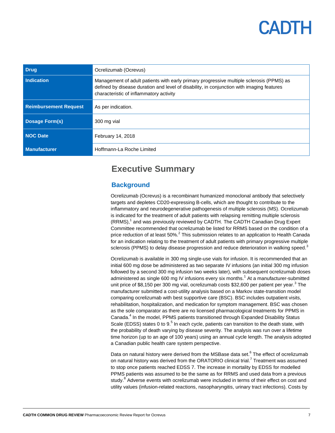| <b>Drug</b>                  | Ocrelizumab (Ocrevus)                                                                                                                                                                                                            |
|------------------------------|----------------------------------------------------------------------------------------------------------------------------------------------------------------------------------------------------------------------------------|
| <b>Indication</b>            | Management of adult patients with early primary progressive multiple sclerosis (PPMS) as<br>defined by disease duration and level of disability, in conjunction with imaging features<br>characteristic of inflammatory activity |
| <b>Reimbursement Request</b> | As per indication.                                                                                                                                                                                                               |
| <b>Dosage Form(s)</b>        | 300 mg vial                                                                                                                                                                                                                      |
| NOC Date                     | February 14, 2018                                                                                                                                                                                                                |
| <b>Manufacturer</b>          | Hoffmann-La Roche Limited                                                                                                                                                                                                        |

## <span id="page-6-0"></span>**Executive Summary**

#### <span id="page-6-1"></span>**Background**

Ocrelizumab (Ocrevus) is a recombinant humanized monoclonal antibody that selectively targets and depletes CD20-expressing B-cells, which are thought to contribute to the inflammatory and neurodegenerative pathogenesis of multiple sclerosis (MS). Ocrelizumab is indicated for the treatment of adult patients with relapsing remitting multiple sclerosis (RRMS), 1 and was previously reviewed by CADTH. The CADTH Canadian Drug Expert Committee recommended that ocrelizumab be listed for RRMS based on the condition of a price reduction of at least 50%.<sup>2</sup> This submission relates to an application to Health Canada for an indication relating to the treatment of adult patients with primary progressive multiple sclerosis (PPMS) to delay disease progression and reduce deterioration in walking speed. $3$ 

Ocrelizumab is available in 300 mg single-use vials for infusion. It is recommended that an initial 600 mg dose be administered as two separate IV infusions (an initial 300 mg infusion followed by a second 300 mg infusion two weeks later), with subsequent ocrelizumab doses administered as single 600 mg IV infusions every six months.<sup>1</sup> At a manufacturer-submitted unit price of \$8,150 per 300 mg vial, ocrelizumab costs \$32,600 per patient per year.<sup>3</sup> The manufacturer submitted a cost-utility analysis based on a Markov state-transition model comparing ocrelizumab with best supportive care (BSC). BSC includes outpatient visits, rehabilitation, hospitalization, and medication for symptom management. BSC was chosen as the sole comparator as there are no licensed pharmacological treatments for PPMS in Canada.<sup>4</sup> In the model, PPMS patients transitioned through Expanded Disability Status Scale (EDSS) states 0 to 9.<sup>5</sup> In each cycle, patients can transition to the death state, with the probability of death varying by disease severity. The analysis was run over a lifetime time horizon (up to an age of 100 years) using an annual cycle length. The analysis adopted a Canadian public health care system perspective.

Data on natural history were derived from the MSBase data set.<sup>6</sup> The effect of ocrelizumab on natural history was derived from the ORATORIO clinical trial.<sup>7</sup> Treatment was assumed to stop once patients reached EDSS 7. The increase in mortality by EDSS for modelled PPMS patients was assumed to be the same as for RRMS and used data from a previous study.<sup>8</sup> Adverse events with ocrelizumab were included in terms of their effect on cost and utility values (infusion-related reactions, nasopharyngitis, urinary tract infections). Costs by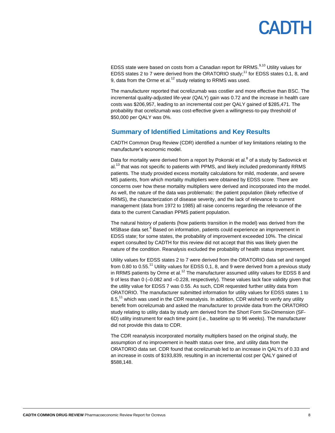# PADTH

EDSS state were based on costs from a Canadian report for RRMS.<sup>9,10</sup> Utility values for EDSS states 2 to 7 were derived from the ORATORIO study;<sup>11</sup> for EDSS states 0,1, 8, and 9. data from the Orme et al. $12$  study relating to RRMS was used.

The manufacturer reported that ocrelizumab was costlier and more effective than BSC. The incremental quality-adjusted life-year (QALY) gain was 0.72 and the increase in health care costs was \$206,957, leading to an incremental cost per QALY gained of \$285,471. The probability that ocrelizumab was cost-effective given a willingness-to-pay threshold of \$50,000 per QALY was 0%.

#### <span id="page-7-0"></span>**Summary of Identified Limitations and Key Results**

CADTH Common Drug Review (CDR) identified a number of key limitations relating to the manufacturer's economic model.

Data for mortality were derived from a report by Pokorski et al.<sup>8</sup> of a study by Sadovnick et al.<sup>13</sup> that was not specific to patients with PPMS, and likely included predominantly RRMS patients. The study provided excess mortality calculations for mild, moderate, and severe MS patients, from which mortality multipliers were obtained by EDSS score. There are concerns over how these mortality multipliers were derived and incorporated into the model. As well, the nature of the data was problematic: the patient population (likely reflective of RRMS), the characterization of disease severity, and the lack of relevance to current management (data from 1972 to 1985) all raise concerns regarding the relevance of the data to the current Canadian PPMS patient population.

The natural history of patients (how patients transition in the model) was derived from the MSBase data set.<sup>6</sup> Based on information, patients could experience an improvement in EDSS state; for some states, the probability of improvement exceeded 10%. The clinical expert consulted by CADTH for this review did not accept that this was likely given the nature of the condition. Reanalysis excluded the probability of health status improvement.

Utility values for EDSS states 2 to 7 were derived from the ORATORIO data set and ranged from 0.80 to 0.55.<sup>11</sup> Utility values for EDSS 0.1, 8, and 9 were derived from a previous study in RRMS patients by Orme et al.<sup>12</sup> The manufacturer assumed utility values for EDSS 8 and 9 of less than 0 (–0.082 and –0.228, respectively). These values lack face validity given that the utility value for EDSS 7 was 0.55. As such, CDR requested further utility data from ORATORIO. The manufacturer submitted information for utility values for EDSS states 1 to 8.5,<sup>11</sup> which was used in the CDR reanalysis. In addition, CDR wished to verify any utility benefit from ocrelizumab and asked the manufacturer to provide data from the ORATORIO study relating to utility data by study arm derived from the Short Form Six-Dimension (SF-6D) utility instrument for each time point (i.e., baseline up to 96 weeks). The manufacturer did not provide this data to CDR.

The CDR reanalysis incorporated mortality multipliers based on the original study, the assumption of no improvement in health status over time, and utility data from the ORATORIO data set. CDR found that ocrelizumab led to an increase in QALYs of 0.33 and an increase in costs of \$193,839, resulting in an incremental cost per QALY gained of \$588,148.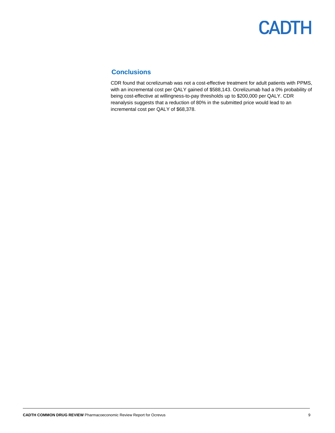### <span id="page-8-0"></span>**Conclusions**

CDR found that ocrelizumab was not a cost-effective treatment for adult patients with PPMS, with an incremental cost per QALY gained of \$588,143. Ocrelizumab had a 0% probability of being cost-effective at willingness-to-pay thresholds up to \$200,000 per QALY. CDR reanalysis suggests that a reduction of 80% in the submitted price would lead to an incremental cost per QALY of \$68,378.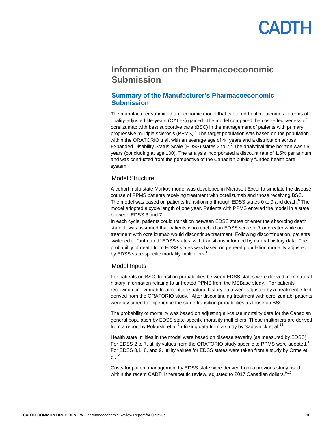### <span id="page-9-0"></span>**Information on the Pharmacoeconomic Submission**

#### <span id="page-9-1"></span>**Summary of the Manufacturer's Pharmacoeconomic Submission**

The manufacturer submitted an economic model that captured health outcomes in terms of quality-adjusted life-years (QALYs) gained. The model compared the cost-effectiveness of ocrelizumab with best supportive care (BSC) in the management of patients with primary progressive multiple sclerosis (PPMS).<sup>4</sup> The target population was based on the population within the ORATORIO trial, with an average age of 44 years and a distribution across Expanded Disability Status Scale (EDSS) states 3 to 7.<sup>7</sup> The analytical time horizon was 56 years (concluding at age 100). The analysis incorporated a discount rate of 1.5% per annum and was conducted from the perspective of the Canadian publicly funded health care system.

#### Model Structure

A cohort multi-state Markov model was developed in Microsoft Excel to simulate the disease course of PPMS patients receiving treatment with ocrelizumab and those receiving BSC. The model was based on patients transitioning through EDSS states 0 to 9 and death.<sup>5</sup> The model adopted a cycle length of one year. Patients with PPMS entered the model in a state between EDSS 3 and 7.

In each cycle, patients could transition between EDSS states or enter the absorbing death state. It was assumed that patients who reached an EDSS score of 7 or greater while on treatment with ocrelizumab would discontinue treatment. Following discontinuation, patients switched to *"*untreated*"* EDSS states, with transitions informed by natural history data. The probability of death from EDSS states was based on general population mortality adjusted by EDSS state-specific mortality multipliers.<sup>10</sup>

#### Model Inputs

For patients on BSC, transition probabilities between EDSS states were derived from natural history information relating to untreated PPMS from the MSBase study.<sup>6</sup> For patients receiving ocrelizumab treatment, the natural history data were adjusted by a treatment effect derived from the ORATORIO study.<sup>7</sup> After discontinuing treatment with ocrelizumab, patients were assumed to experience the same transition probabilities as those on BSC.

The probability of mortality was based on adjusting all-cause mortality data for the Canadian general population by EDSS state-specific mortality multipliers. These multipliers are derived from a report by Pokorski et al. $^8$  utilizing data from a study by Sadovnick et al. $^{13}$ 

Health state utilities in the model were based on disease severity (as measured by EDSS). For EDSS 2 to 7, utility values from the ORATORIO study specific to PPMS were adopted.<sup>11</sup> For EDSS 0,1, 8, and 9, utility values for EDSS states were taken from a study by Orme et al. $12$ 

Costs for patient management by EDSS state were derived from a previous study used within the recent CADTH therapeutic review, adjusted to 2017 Canadian dollars.<sup>9,10</sup>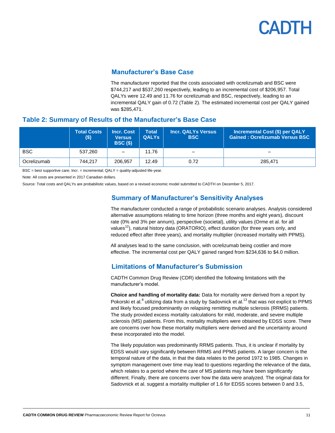#### **Manufacturer's Base Case**

The manufacturer reported that the costs associated with ocrelizumab and BSC were \$744,217 and \$537,260 respectively, leading to an incremental cost of \$206,957. Total QALYs were 12.49 and 11.76 for ocrelizumab and BSC, respectively, leading to an incremental QALY gain of 0.72 [\(Table 2\)](#page-10-3). The estimated incremental cost per QALY gained was \$285,471.

#### <span id="page-10-3"></span><span id="page-10-0"></span>**Table 2: Summary of Results of the Manufacturer's Base Case**

|             | <b>Total Costs</b><br>\$) | <b>Incr. Cost</b><br><b>Versus</b><br><b>BSC (\$)</b> | <b>Total</b><br><b>QALYS</b> | <b>Incr. QALYs Versus</b><br><b>BSC</b> | Incremental Cost (\$) per QALY<br><b>Gained: Ocrelizumab Versus BSC</b> |
|-------------|---------------------------|-------------------------------------------------------|------------------------------|-----------------------------------------|-------------------------------------------------------------------------|
| <b>BSC</b>  | 537.260                   | $\qquad \qquad -$                                     | 11.76                        |                                         |                                                                         |
| Ocrelizumab | 744.217                   | 206.957                                               | 12.49                        | 0.72                                    | 285.471                                                                 |

 $BSC = best$  supportive care; Incr. = incremental;  $QALY =$  quality-adjusted life-year.

Note: All costs are presented in 2017 Canadian dollars.

<span id="page-10-2"></span><span id="page-10-1"></span>Source: Total costs and QALYs are probabilistic values, based on a revised economic model submitted to CADTH on December 5, 2017.

#### **Summary of Manufacturer's Sensitivity Analyses**

The manufacturer conducted a range of probabilistic scenario analyses. Analysis considered alternative assumptions relating to time horizon (three months and eight years), discount rate (0% and 3% per annum), perspective (societal), utility values (Orme et al. for all values<sup>12</sup>), natural history data (ORATORIO), effect duration (for three years only, and reduced effect after three years), and mortality multiplier (increased mortality with PPMS).

All analyses lead to the same conclusion, with ocrelizumab being costlier and more effective. The incremental cost per QALY gained ranged from \$234,636 to \$4.0 million.

#### **Limitations of Manufacturer's Submission**

CADTH Common Drug Review (CDR) identified the following limitations with the manufacturer's model.

**Choice and handling of mortality data:** Data for mortality were derived from a report by Pokorski et al. $^8$  utilizing data from a study by Sadovnick et al.<sup>13</sup> that was not explicit to PPMS and likely focused predominantly on relapsing remitting multiple sclerosis (RRMS) patients. The study provided excess mortality calculations for mild, moderate, and severe multiple sclerosis (MS) patients. From this, mortality multipliers were obtained by EDSS score. There are concerns over how these mortality multipliers were derived and the uncertainty around these incorporated into the model.

The likely population was predominantly RRMS patients. Thus, it is unclear if mortality by EDSS would vary significantly between RRMS and PPMS patients. A larger concern is the temporal nature of the data, in that the data relates to the period 1972 to 1985. Changes in symptom management over time may lead to questions regarding the relevance of the data, which relates to a period where the care of MS patients may have been significantly different. Finally, there are concerns over how the data were analyzed. The original data for Sadovnick et al. suggest a mortality multiplier of 1.6 for EDSS scores between 0 and 3.5,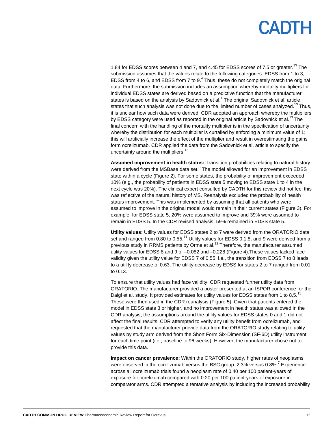1.84 for EDSS scores between 4 and 7, and 4.45 for EDSS scores of 7.5 or greater.<sup>13</sup> The submission assumes that the values relate to the following categories: EDSS from 1 to 3, EDSS from 4 to 6, and EDSS from 7 to  $9<sup>4</sup>$  Thus, these do not completely match the original data. Furthermore, the submission includes an assumption whereby mortality multipliers for individual EDSS states are derived based on a predictive function that the manufacturer states is based on the analysis by Sadovnick et al.<sup>4</sup> The original Sadovnick et al. article states that such analysis was not done due to the limited number of cases analyzed.<sup>13</sup> Thus, it is unclear how such data were derived. CDR adopted an approach whereby the multipliers by EDSS category were used as reported in the original article by Sadovnick et al.<sup>13</sup> The final concern with the handling of the mortality multiplier is in the specification of uncertainty whereby the distribution for each multiplier is curtailed by enforcing a minimum value of 1; this will artificially increase the effect of the multiplier and result in overestimating the gains form ocrelizumab. CDR applied the data from the Sadovnick et al. article to specify the uncertainty around the multipliers. $13$ 

**Assumed improvement in health status:** Transition probabilities relating to natural history were derived from the MSBase data set.<sup>6</sup> The model allowed for an improvement in EDSS state within a cycle [\(Figure 2\)](#page-22-0). For some states, the probability of improvement exceeded 10% (e.g., the probability of patients in EDSS state 5 moving to EDSS state 1 to 4 in the next cycle was 20%). The clinical expert consulted by CADTH for this review did not feel this was reflective of the natural history of MS. Reanalysis excluded the probability of health status improvement. This was implemented by assuming that all patients who were assumed to improve in the original model would remain in their current states [\(Figure 3\)](#page-22-1). For example, for EDSS state 5, 20% were assumed to improve and 39% were assumed to remain in EDSS 5. In the CDR revised analysis, 59% remained in EDSS state 5.

**Utility values:** Utility values for EDSS states 2 to 7 were derived from the ORATORIO data set and ranged from 0.80 to 0.55.<sup>11</sup> Utility values for EDSS 0,1,8, and 9 were derived from a previous study in RRMS patients by Orme et al.<sup>12</sup> Therefore, the manufacturer assumed utility values for EDSS 8 and 9 of –0.082 and –0.228 [\(Figure 4\)](#page-23-0).These values lacked face validity given the utility value for EDSS 7 of 0.55; i.e., the transition from EDSS 7 to 8 leads to a utility decrease of 0.63. The utility decrease by EDSS for states 2 to 7 ranged from 0.01 to 0.13.

To ensure that utility values had face validity, CDR requested further utility data from ORATORIO. The manufacturer provided a poster presented at an ISPOR conference for the Daigl et al. study. It provided estimates for utility values for EDSS states from 1 to 8.5.<sup>11</sup> These were then used in the CDR reanalysis [\(Figure 5\)](#page-23-1). Given that patients entered the model in EDSS state 3 or higher, and no improvement in health status was allowed in the CDR analysis, the assumptions around the utility values for EDSS states 0 and 1 did not affect the final results. CDR attempted to verify any utility benefit from ocrelizumab, and requested that the manufacturer provide data from the ORATORIO study relating to utility values by study arm derived from the Short Form Six-Dimension (SF-6D) utility instrument for each time point (i.e., baseline to 96 weeks). However, the manufacturer chose not to provide this data.

**Impact on cancer prevalence:** Within the ORATORIO study, higher rates of neoplasms were observed in the ocrelizumab versus the BSC group: 2.3% versus 0.8%.<sup>7</sup> Experience across all ocrelizumab trials found a neoplasm rate of 0.40 per 100 patient-years of exposure for ocrelizumab compared with 0.20 per 100 patient-years of exposure in comparator arms. CDR attempted a tentative analysis by including the increased probability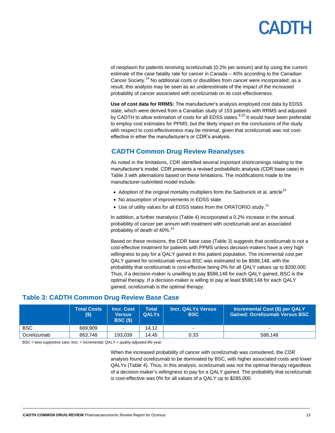# **ANTH**

of neoplasm for patients receiving ocrelizumab (0.2% per annum) and by using the current estimate of the case fatality rate for cancer in Canada – 40% according to the Canadian Cancer Society.<sup>14</sup> No additional costs or disutilities from cancer were incorporated; as a result, this analysis may be seen as an underestimate of the impact of the increased probability of cancer associated with ocrelizumab on its cost-effectiveness.

**Use of cost data for RRMS:** The manufacturer's analysis employed cost data by EDSS state, which were derived from a Canadian study of 153 patients with RRMS and adjusted by CADTH to allow estimation of costs for all EDSS states.<sup>9,10</sup> It would have been preferable to employ cost estimates for PPMS; but the likely impact on the conclusions of the study with respect to cost-effectiveness may be minimal, given that ocrelizumab was not costeffective in ether the manufacturer's or CDR's analysis.

### <span id="page-12-0"></span>**CADTH Common Drug Review Reanalyses**

As noted in the limitations, CDR identified several important shortcomings relating to the manufacturer's model. CDR presents a revised probabilistic analysis (CDR base case) in [Table 3](#page-12-1) with alternations based on these limitations. The modifications made to the manufacturer-submitted model include:

- $\bullet$  Adoption of the original mortality multipliers form the Sadovnick et al. article<sup>13</sup>
- No assumption of improvements in EDSS state
- $\bullet$  Use of utility values for all EDSS states from the ORATORIO study.<sup>11</sup>

In addition, a further reanalysis [\(Table 4\)](#page-13-1) incorporated a 0.2% increase in the annual probability of cancer per annum with treatment with ocrelizumab and an associated probability of death of 40%.<sup>14</sup>

Based on these revisions, the CDR base case [\(Table 3\)](#page-12-1) suggests that ocrelizumab is not a cost-effective treatment for patients with PPMS unless decision-makers have a very high willingness to pay for a QALY gained in this patient population. The incremental cost per QALY gained for ocrelizumab versus BSC was estimated to be \$588,148, with the probability that ocrelizumab is cost-effective being 0% for all QALY values up to \$200,000. Thus, if a decision-maker is unwilling to pay \$588,148 for each QALY gained, BSC is the optimal therapy. If a decision-maker is willing to pay at least \$588,148 for each QALY gained, ocrelizumab is the optimal therapy.

### <span id="page-12-1"></span>**Table 3: CADTH Common Drug Review Base Case**

|             | <b>Total Costs</b><br>\$) | <b>Incr. Cost</b><br><b>Versus</b><br><b>BSC (\$)</b> | <b>Total</b><br><b>QALYS</b> | <b>Incr. QALYs Versus</b><br><b>BSC</b> | Incremental Cost (\$) per QALY<br><b>Gained: Ocrelizumab Versus BSC</b> |
|-------------|---------------------------|-------------------------------------------------------|------------------------------|-----------------------------------------|-------------------------------------------------------------------------|
| <b>BSC</b>  | 669.909                   |                                                       | 14.12                        | $\overline{\phantom{0}}$                |                                                                         |
| Ocrelizumab | 863.748                   | 193.039                                               | 14.45                        | 0.33                                    | 588.148                                                                 |

BSC = best supportive care; Incr. = incremental; QALY = quality-adjusted life-year.

When the increased probability of cancer with ocrelizumab was considered, the CDR analysis found ocrelizumab to be dominated by BSC, with higher associated costs and lower QALYs [\(Table 4\)](#page-13-1). Thus, in this analysis, ocrelizumab was not the optimal therapy regardless of a decision-maker's willingness to pay for a QALY gained. The probability that ocrelizumab is cost-effective was 0% for all values of a QALY up to \$285,000.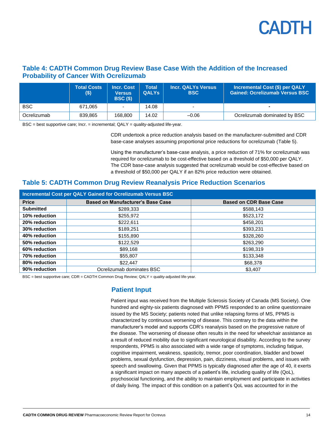

#### <span id="page-13-1"></span>**Table 4: CADTH Common Drug Review Base Case With the Addition of the Increased Probability of Cancer With Ocrelizumab**

|             | <b>Total Costs</b><br>\$) | <b>Incr. Cost</b><br><b>Versus</b><br><b>BSC (\$)</b> | <b>Total</b><br><b>QALYS</b> | <b>Incr. QALYs Versus</b><br><b>BSC</b> | Incremental Cost (\$) per QALY<br><b>Gained: Ocrelizumab Versus BSC</b> |
|-------------|---------------------------|-------------------------------------------------------|------------------------------|-----------------------------------------|-------------------------------------------------------------------------|
| <b>BSC</b>  | 671.065                   |                                                       | 14.08                        |                                         |                                                                         |
| Ocrelizumab | 839.865                   | 168,800                                               | 14.02                        | $-0.06$                                 | Ocrelizumab dominated by BSC                                            |

 $BSC = best$  supportive care; Incr. = incremental;  $QALY =$  quality-adjusted life-year.

CDR undertook a price reduction analysis based on the manufacturer-submitted and CDR base-case analyses assuming proportional price reductions for ocrelizumab [\(Table 5\)](#page-13-2).

Using the manufacturer's base-case analysis, a price reduction of 71% for ocrelizumab was required for ocrelizumab to be cost-effective based on a threshold of \$50,000 per QALY. The CDR base-case analysis suggested that ocrelizumab would be cost-effective based on a threshold of \$50,000 per QALY if an 82% price reduction were obtained.

#### <span id="page-13-2"></span>**Table 5: CADTH Common Drug Review Reanalysis Price Reduction Scenarios**

|                  | Incremental Cost per QALY Gained for Ocrelizumab Versus BSC |                               |
|------------------|-------------------------------------------------------------|-------------------------------|
| <b>Price</b>     | <b>Based on Manufacturer's Base Case</b>                    | <b>Based on CDR Base Case</b> |
| <b>Submitted</b> | \$289,333                                                   | \$588,143                     |
| 10% reduction    | \$255,972                                                   | \$523,172                     |
| 20% reduction    | \$222,611                                                   | \$458,201                     |
| 30% reduction    | \$189,251                                                   | \$393,231                     |
| 40% reduction    | \$155,890                                                   | \$328,260                     |
| 50% reduction    | \$122,529                                                   | \$263,290                     |
| 60% reduction    | \$89.168                                                    | \$198,319                     |
| 70% reduction    | \$55,807                                                    | \$133,348                     |
| 80% reduction    | \$22,447                                                    | \$68,378                      |
| 90% reduction    | Ocrelizumab dominates BSC                                   | \$3,407                       |

<span id="page-13-0"></span>BSC = best supportive care; CDR = CADTH Common Drug Review; QALY = quality-adjusted life-year.

#### **Patient Input**

Patient input was received from the Multiple Sclerosis Society of Canada (MS Society). One hundred and eighty-six patients diagnosed with PPMS responded to an online questionnaire issued by the MS Society; patients noted that unlike relapsing forms of MS, PPMS is characterized by continuous worsening of disease. This contrary to the data within the manufacturer's model and supports CDR's reanalysis based on the progressive nature of the disease. The worsening of disease often results in the need for wheelchair assistance as a result of reduced mobility due to significant neurological disability. According to the survey respondents, PPMS is also associated with a wide range of symptoms, including fatigue, cognitive impairment, weakness, spasticity, tremor, poor coordination, bladder and bowel problems, sexual dysfunction, depression, pain, dizziness, visual problems, and issues with speech and swallowing. Given that PPMS is typically diagnosed after the age of 40, it exerts a significant impact on many aspects of a patient's life, including quality of life (QoL), psychosocial functioning, and the ability to maintain employment and participate in activities of daily living. The impact of this condition on a patient's QoL was accounted for in the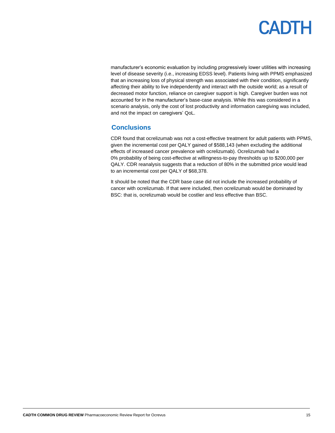manufacturer's economic evaluation by including progressively lower utilities with increasing level of disease severity (i.e., increasing EDSS level). Patients living with PPMS emphasized that an increasing loss of physical strength was associated with their condition, significantly affecting their ability to live independently and interact with the outside world; as a result of decreased motor function, reliance on caregiver support is high. Caregiver burden was not accounted for in the manufacturer's base-case analysis. While this was considered in a scenario analysis, only the cost of lost productivity and information caregiving was included, and not the impact on caregivers' QoL.

#### <span id="page-14-0"></span>**Conclusions**

CDR found that ocrelizumab was not a cost-effective treatment for adult patients with PPMS, given the incremental cost per QALY gained of \$588,143 (when excluding the additional effects of increased cancer prevalence with ocrelizumab). Ocrelizumab had a 0% probability of being cost-effective at willingness-to-pay thresholds up to \$200,000 per QALY. CDR reanalysis suggests that a reduction of 80% in the submitted price would lead to an incremental cost per QALY of \$68,378.

It should be noted that the CDR base case did not include the increased probability of cancer with ocrelizumab. If that were included, then ocrelizumab would be dominated by BSC: that is, ocrelizumab would be costlier and less effective than BSC.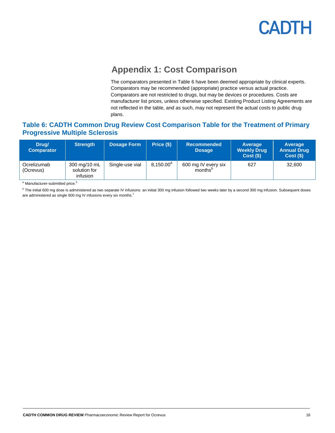

## **Appendix 1: Cost Comparison**

The comparators presented in [Table 6](#page-15-1) have been deemed appropriate by clinical experts. Comparators may be recommended (appropriate) practice versus actual practice. Comparators are not restricted to drugs, but may be devices or procedures. Costs are manufacturer list prices, unless otherwise specified. Existing Product Listing Agreements are not reflected in the table, and as such, may not represent the actual costs to public drug plans.

### <span id="page-15-1"></span><span id="page-15-0"></span>**Table 6: CADTH Common Drug Review Cost Comparison Table for the Treatment of Primary Progressive Multiple Sclerosis**

| Drug/<br><b>Comparator</b> | <b>Strength</b>                          | Dosage Form     | Price (\$)            | <b>Recommended</b><br><b>Dosage</b> | Average<br><b>Weekly Drug</b><br>Cost(S) | Average<br><b>Annual Drug</b><br>Cost(S) |
|----------------------------|------------------------------------------|-----------------|-----------------------|-------------------------------------|------------------------------------------|------------------------------------------|
| Ocrelizumab<br>(Ocrevus)   | 300 mg/10 mL<br>solution for<br>infusion | Single-use vial | 8,150.00 <sup>a</sup> | 600 mg IV every six<br>months       | 627                                      | 32,600                                   |

<sup>a</sup> Manufacturer-submitted price.<sup>3</sup>

<sup>b</sup> The initial 600 mg dose is administered as two separate IV infusions: an initial 300 mg infusion followed two weeks later by a second 300 mg infusion. Subsequent doses are administered as single 600 mg IV infusions every six months.<sup>1</sup>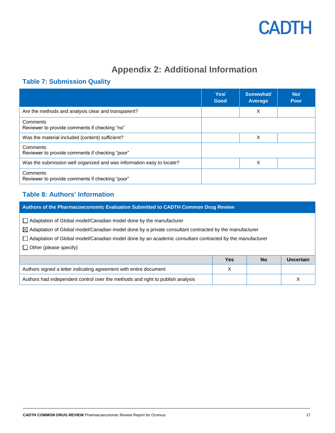## **Appendix 2: Additional Information**

### <span id="page-16-1"></span><span id="page-16-0"></span>**Table 7: Submission Quality**

|                                                                       | Yes/<br>Good | Somewhat/<br>Average | No/<br>Poor |
|-----------------------------------------------------------------------|--------------|----------------------|-------------|
| Are the methods and analysis clear and transparent?                   |              | X                    |             |
| Comments<br>Reviewer to provide comments if checking "no"             |              |                      |             |
| Was the material included (content) sufficient?                       |              | X                    |             |
| Comments<br>Reviewer to provide comments if checking "poor"           |              |                      |             |
| Was the submission well organized and was information easy to locate? |              | X                    |             |
| Comments<br>Reviewer to provide comments if checking "poor"           |              |                      |             |

### <span id="page-16-2"></span>**Table 8: Authors' Information**

| Authors of the Pharmacoeconomic Evaluation Submitted to CADTH Common Drug Review                                                                                                                                                                                                                                                      |   |  |  |  |  |  |
|---------------------------------------------------------------------------------------------------------------------------------------------------------------------------------------------------------------------------------------------------------------------------------------------------------------------------------------|---|--|--|--|--|--|
| □ Adaptation of Global model/Canadian model done by the manufacturer<br>$\boxtimes$ Adaptation of Global model/Canadian model done by a private consultant contracted by the manufacturer<br>Adaptation of Global model/Canadian model done by an academic consultant contracted by the manufacturer<br>$\Box$ Other (please specify) |   |  |  |  |  |  |
| Uncertain<br><b>Yes</b><br><b>No</b>                                                                                                                                                                                                                                                                                                  |   |  |  |  |  |  |
| Authors signed a letter indicating agreement with entire document                                                                                                                                                                                                                                                                     | X |  |  |  |  |  |
|                                                                                                                                                                                                                                                                                                                                       |   |  |  |  |  |  |

Authors had independent control over the methods and right to publish analysis X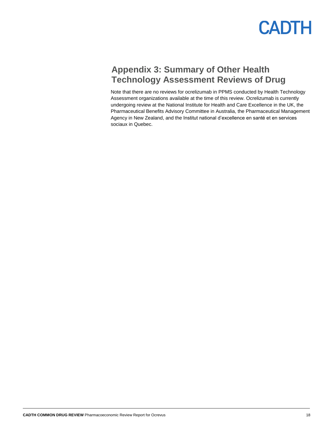

## <span id="page-17-0"></span>**Appendix 3: Summary of Other Health Technology Assessment Reviews of Drug**

Note that there are no reviews for ocrelizumab in PPMS conducted by Health Technology Assessment organizations available at the time of this review. Ocrelizumab is currently undergoing review at the National Institute for Health and Care Excellence in the UK, the Pharmaceutical Benefits Advisory Committee in Australia, the Pharmaceutical Management Agency in New Zealand, and the Institut national d'excellence en santé et en services sociaux in Quebec.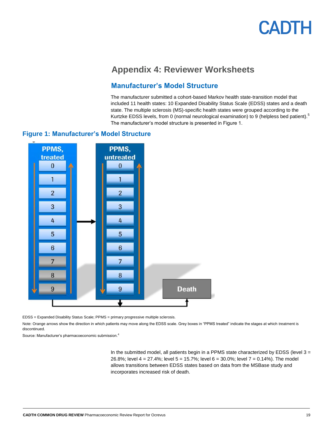## **Appendix 4: Reviewer Worksheets**

### **Manufacturer's Model Structure**

The manufacturer submitted a cohort-based Markov health state-transition model that included 11 health states: 10 Expanded Disability Status Scale (EDSS) states and a death state. The multiple sclerosis (MS)-specific health states were grouped according to the Kurtzke EDSS levels, from 0 (normal neurological examination) to 9 (helpless bed patient).<sup>5</sup> The manufacturer's model structure is presented in Figure 1.

#### <span id="page-18-1"></span><span id="page-18-0"></span>**Figure 1: Manufacturer's Model Structure**



EDSS = Expanded Disability Status Scale; PPMS = primary progressive multiple sclerosis.

Note: Orange arrows show the direction in which patients may move along the EDSS scale. Grey boxes in "PPMS treated" indicate the stages at which treatment is discontinued.

Source: Manufacturer's pharmacoeconomic submission.<sup>4</sup>

In the submitted model, all patients begin in a PPMS state characterized by EDSS (level  $3 =$ 26.8%; level 4 = 27.4%; level 5 = 15.7%; level 6 = 30.0%; level 7 = 0.14%). The model allows transitions between EDSS states based on data from the MSBase study and incorporates increased risk of death.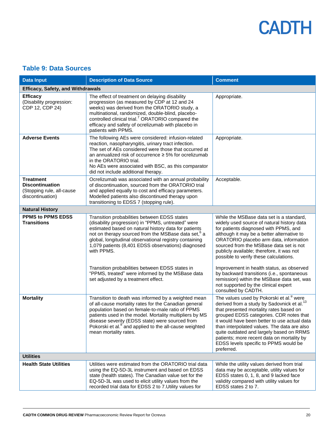### <span id="page-19-0"></span>**Table 9: Data Sources**

| <b>Data Input</b>                                                                           | <b>Description of Data Source</b>                                                                                                                                                                                                                                                                                                                                                                                                                                                                         | <b>Comment</b>                                                                                                                                                                                                                                                                                                                                                                                                                                                                                                                                                    |  |  |  |
|---------------------------------------------------------------------------------------------|-----------------------------------------------------------------------------------------------------------------------------------------------------------------------------------------------------------------------------------------------------------------------------------------------------------------------------------------------------------------------------------------------------------------------------------------------------------------------------------------------------------|-------------------------------------------------------------------------------------------------------------------------------------------------------------------------------------------------------------------------------------------------------------------------------------------------------------------------------------------------------------------------------------------------------------------------------------------------------------------------------------------------------------------------------------------------------------------|--|--|--|
| <b>Efficacy, Safety, and Withdrawals</b>                                                    |                                                                                                                                                                                                                                                                                                                                                                                                                                                                                                           |                                                                                                                                                                                                                                                                                                                                                                                                                                                                                                                                                                   |  |  |  |
| <b>Efficacy</b><br>(Disability progression:<br>CDP 12, CDP 24)                              | The effect of treatment on delaying disability<br>progression (as measured by CDP at 12 and 24<br>weeks) was derived from the ORATORIO study, a<br>multinational, randomized, double-blind, placebo-<br>controlled clinical trial. <sup>7</sup> ORATORIO compared the<br>efficacy and safety of ocrelizumab with placebo in<br>patients with PPMS.                                                                                                                                                        | Appropriate.                                                                                                                                                                                                                                                                                                                                                                                                                                                                                                                                                      |  |  |  |
| <b>Adverse Events</b>                                                                       | The following AEs were considered: infusion-related<br>reaction, nasopharyngitis, urinary tract infection.<br>The set of AEs considered were those that occurred at<br>an annualized risk of occurrence $\geq$ 5% for ocrelizumab<br>in the ORATORIO trial.<br>No AEs were associated with BSC, as this comparator<br>did not include additional therapy.                                                                                                                                                 | Appropriate.                                                                                                                                                                                                                                                                                                                                                                                                                                                                                                                                                      |  |  |  |
| <b>Treatment</b><br><b>Discontinuation</b><br>(Stopping rule, all-cause<br>discontinuation) | Ocrelizumab was associated with an annual probability<br>of discontinuation, sourced from the ORATORIO trial<br>and applied equally to cost and efficacy parameters.<br>Modelled patients also discontinued therapy upon<br>transitioning to EDSS 7 (stopping rule).                                                                                                                                                                                                                                      | Acceptable.                                                                                                                                                                                                                                                                                                                                                                                                                                                                                                                                                       |  |  |  |
| <b>Natural History</b>                                                                      |                                                                                                                                                                                                                                                                                                                                                                                                                                                                                                           |                                                                                                                                                                                                                                                                                                                                                                                                                                                                                                                                                                   |  |  |  |
| <b>PPMS to PPMS EDSS</b><br><b>Transitions</b>                                              | Transition probabilities between EDSS states<br>(disability progression) in "PPMS, untreated" were<br>estimated based on natural history data for patients<br>not on therapy sourced from the MSBase data set, <sup>6</sup> a<br>global, longitudinal observational registry containing<br>1,079 patients (8,401 EDSS observations) diagnosed<br>with PPMS.<br>Transition probabilities between EDSS states in<br>"PPMS, treated" were informed by the MSBase data<br>set adjusted by a treatment effect. | While the MSBase data set is a standard,<br>widely used source of natural history data<br>for patients diagnosed with PPMS, and<br>although it may be a better alternative to<br>ORATORIO placebo arm data, information<br>sourced from the MSBase data set is not<br>publicly available; therefore, it was not<br>possible to verify these calculations.<br>Improvement in health status, as observed<br>by backward transitions (i.e., spontaneous<br>remission) within the MSBase data set, was<br>not supported by the clinical expert<br>consulted by CADTH. |  |  |  |
| <b>Mortality</b>                                                                            | Transition to death was informed by a weighted mean<br>of all-cause mortality rates for the Canadian general<br>population based on female-to-male ratio of PPMS<br>patients used in the model. Mortality multipliers by MS<br>disease severity (EDSS state) were sourced from<br>Pokorski et al. <sup>8</sup> and applied to the all-cause weighted<br>mean mortality rates.                                                                                                                             | The values used by Pokorski et al. <sup>8</sup> were<br>derived from a study by Sadovnick et al. <sup>13</sup><br>that presented mortality rates based on<br>grouped EDSS categories. CDR notes that<br>it would have been better to use actual data<br>than interpolated values. The data are also<br>quite outdated and largely based on RRMS<br>patients; more recent data on mortality by<br>EDSS levels specific to PPMS would be<br>preferred.                                                                                                              |  |  |  |
| <b>Utilities</b>                                                                            |                                                                                                                                                                                                                                                                                                                                                                                                                                                                                                           |                                                                                                                                                                                                                                                                                                                                                                                                                                                                                                                                                                   |  |  |  |
| <b>Health State Utilities</b>                                                               | Utilities were estimated from the ORATORIO trial data<br>using the EQ-5D-3L instrument and based on EDSS<br>state (health states). The Canadian value set for the<br>EQ-5D-3L was used to elicit utility values from the<br>recorded trial data for EDSS 2 to 7. Utility values for                                                                                                                                                                                                                       | While the utility values derived from trial<br>data may be acceptable, utility values for<br>EDSS states 0, 1, 8, and 9 lacked face<br>validity compared with utility values for<br>EDSS states 2 to 7.                                                                                                                                                                                                                                                                                                                                                           |  |  |  |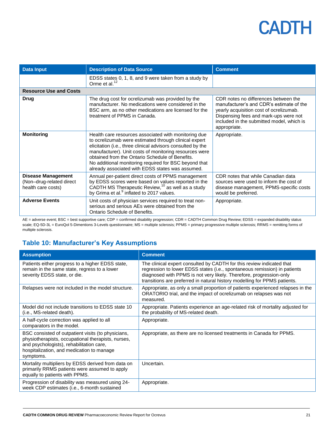| <b>Data Input</b>                                                           | <b>Description of Data Source</b>                                                                                                                                                                                                                                                                                                                                                                      | <b>Comment</b>                                                                                                                                                                                                                    |
|-----------------------------------------------------------------------------|--------------------------------------------------------------------------------------------------------------------------------------------------------------------------------------------------------------------------------------------------------------------------------------------------------------------------------------------------------------------------------------------------------|-----------------------------------------------------------------------------------------------------------------------------------------------------------------------------------------------------------------------------------|
|                                                                             | EDSS states 0, 1, 8, and 9 were taken from a study by<br>Orme et al. <sup>12</sup>                                                                                                                                                                                                                                                                                                                     |                                                                                                                                                                                                                                   |
| <b>Resource Use and Costs</b>                                               |                                                                                                                                                                                                                                                                                                                                                                                                        |                                                                                                                                                                                                                                   |
| Drug                                                                        | The drug cost for ocrelizumab was provided by the<br>manufacturer. No medications were considered in the<br>BSC arm, as no other medications are licensed for the<br>treatment of PPMS in Canada.                                                                                                                                                                                                      | CDR notes no differences between the<br>manufacturer's and CDR's estimate of the<br>yearly acquisition cost of ocrelizumab.<br>Dispensing fees and mark-ups were not<br>included in the submitted model, which is<br>appropriate. |
| <b>Monitoring</b>                                                           | Health care resources associated with monitoring due<br>to ocrelizumab were estimated through clinical expert<br>elicitation (i.e., three clinical advisors consulted by the<br>manufacturer). Unit costs of monitoring resources were<br>obtained from the Ontario Schedule of Benefits.<br>No additional monitoring required for BSC beyond that<br>already associated with EDSS states was assumed. | Appropriate.                                                                                                                                                                                                                      |
| <b>Disease Management</b><br>(Non-drug-related direct<br>health care costs) | Annual per-patient direct costs of PPMS management<br>by EDSS scores were based on values reported in the<br>CADTH MS Therapeutic Review, <sup>10</sup> as well as a study<br>by Grima et al. <sup>9</sup> inflated to 2017 values.                                                                                                                                                                    | CDR notes that while Canadian data<br>sources were used to inform the cost of<br>disease management, PPMS-specific costs<br>would be preferred.                                                                                   |
| <b>Adverse Events</b>                                                       | Unit costs of physician services required to treat non-<br>serious and serious AEs were obtained from the<br>Ontario Schedule of Benefits.                                                                                                                                                                                                                                                             | Appropriate.                                                                                                                                                                                                                      |

AE = adverse event; BSC = best supportive care; CDP = confirmed disability progression; CDR = CADTH Common Drug Review; EDSS = expanded disability status scale; EQ-5D-3L = EuroQol 5-Dimentions 3-Levels questionnaire; MS = multiple sclerosis; PPMS = primary progressive multiple sclerosis; RRMS = remitting forms of multiple sclerosis.

### <span id="page-20-0"></span>**Table 10: Manufacturer's Key Assumptions**

| <b>Assumption</b>                                                                                                                                                                                              | <b>Comment</b>                                                                                                                                                                                                                                                                                         |
|----------------------------------------------------------------------------------------------------------------------------------------------------------------------------------------------------------------|--------------------------------------------------------------------------------------------------------------------------------------------------------------------------------------------------------------------------------------------------------------------------------------------------------|
| Patients either progress to a higher EDSS state,<br>remain in the same state, regress to a lower<br>severity EDSS state, or die.                                                                               | The clinical expert consulted by CADTH for this review indicated that<br>regression to lower EDSS states (i.e., spontaneous remission) in patients<br>diagnosed with PPMS is not very likely. Therefore, progression-only<br>transitions are preferred in natural history modelling for PPMS patients. |
| Relapses were not included in the model structure.                                                                                                                                                             | Appropriate, as only a small proportion of patients experienced relapses in the<br>ORATORIO trial, and the impact of ocrelizumab on relapses was not<br>measured.                                                                                                                                      |
| Model did not include transitions to EDSS state 10<br>(i.e., MS-related death).                                                                                                                                | Appropriate. Patients experience an age-related risk of mortality adjusted for<br>the probability of MS-related death.                                                                                                                                                                                 |
| A half-cycle correction was applied to all<br>comparators in the model.                                                                                                                                        | Appropriate.                                                                                                                                                                                                                                                                                           |
| BSC consisted of outpatient visits (to physicians,<br>physiotherapists, occupational therapists, nurses,<br>and psychologists), rehabilitation care,<br>hospitalization, and medication to manage<br>symptoms. | Appropriate, as there are no licensed treatments in Canada for PPMS.                                                                                                                                                                                                                                   |
| Mortality multipliers by EDSS derived from data on<br>primarily RRMS patients were assumed to apply<br>equally to patients with PPMS.                                                                          | Uncertain.                                                                                                                                                                                                                                                                                             |
| Progression of disability was measured using 24-<br>week CDP estimates (i.e., 6-month sustained                                                                                                                | Appropriate.                                                                                                                                                                                                                                                                                           |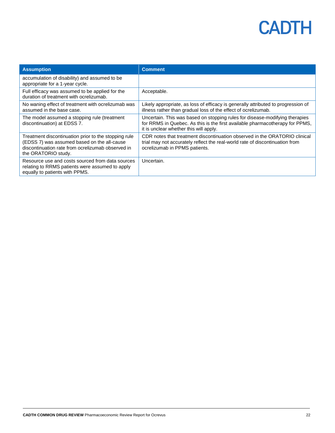| <b>Assumption</b>                                                                                                                                                               | <b>Comment</b>                                                                                                                                                                                        |
|---------------------------------------------------------------------------------------------------------------------------------------------------------------------------------|-------------------------------------------------------------------------------------------------------------------------------------------------------------------------------------------------------|
| accumulation of disability) and assumed to be<br>appropriate for a 1-year cycle.                                                                                                |                                                                                                                                                                                                       |
| Full efficacy was assumed to be applied for the<br>duration of treatment with ocrelizumab.                                                                                      | Acceptable.                                                                                                                                                                                           |
| No waning effect of treatment with ocrelizumab was<br>assumed in the base case.                                                                                                 | Likely appropriate, as loss of efficacy is generally attributed to progression of<br>illness rather than gradual loss of the effect of ocrelizumab.                                                   |
| The model assumed a stopping rule (treatment<br>discontinuation) at EDSS 7.                                                                                                     | Uncertain. This was based on stopping rules for disease-modifying therapies<br>for RRMS in Quebec. As this is the first available pharmacotherapy for PPMS,<br>it is unclear whether this will apply. |
| Treatment discontinuation prior to the stopping rule<br>(EDSS 7) was assumed based on the all-cause<br>discontinuation rate from ocrelizumab observed in<br>the ORATORIO study. | CDR notes that treatment discontinuation observed in the ORATORIO clinical<br>trial may not accurately reflect the real-world rate of discontinuation from<br>ocrelizumab in PPMS patients.           |
| Resource use and costs sourced from data sources<br>relating to RRMS patients were assumed to apply<br>equally to patients with PPMS.                                           | Uncertain.                                                                                                                                                                                            |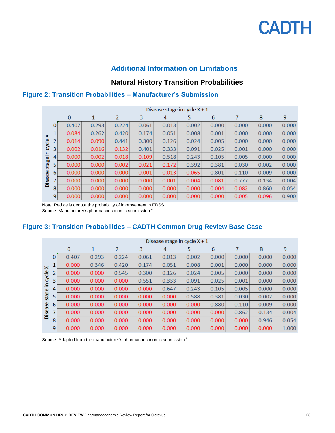

### **Additional Information on Limitations**

### **Natural History Transition Probabilities**

### <span id="page-22-0"></span>**Figure 2: Transition Probabilities – Manufacturer's Submission**

|                | Disease stage in cycle $X + 1$ |              |       |       |       |       |       |       |       |       |       |  |
|----------------|--------------------------------|--------------|-------|-------|-------|-------|-------|-------|-------|-------|-------|--|
|                |                                | $\mathbf{0}$ | 1     | 2     | 3     | 4     | 5     | 6     |       | 8     | 9     |  |
|                | 0                              | 0.407        | 0.293 | 0.224 | 0.061 | 0.013 | 0.002 | 0.000 | 0.000 | 0.000 | 0.000 |  |
| $\times$       |                                | 0.084        | 0.262 | 0.420 | 0.174 | 0.051 | 0.008 | 0.001 | 0.000 | 0.000 | 0.000 |  |
| cycle          | $\overline{2}$                 | 0.014        | 0.090 | 0.441 | 0.300 | 0.126 | 0.024 | 0.005 | 0.000 | 0.000 | 0.000 |  |
|                | $\overline{3}$                 | 0.002        | 0.016 | 0.132 | 0.401 | 0.333 | 0.091 | 0.025 | 0.001 | 0.000 | 0.000 |  |
| 요.             | 4                              | 0.000        | 0.002 | 0.018 | 0.109 | 0.518 | 0.243 | 0.105 | 0.005 | 0.000 | 0.000 |  |
| stage          | 5                              | 0.000        | 0.000 | 0.002 | 0.021 | 0.172 | 0.392 | 0.381 | 0.030 | 0.002 | 0.000 |  |
|                | 6                              | 0.000        | 0.000 | 0.000 | 0.001 | 0.013 | 0.065 | 0.801 | 0.110 | 0.009 | 0.000 |  |
| <b>Disease</b> | 7                              | 0.000        | 0.000 | 0.000 | 0.000 | 0.001 | 0.004 | 0.081 | 0.777 | 0.134 | 0.004 |  |
|                | 8                              | 0.000        | 0.000 | 0.000 | 0.000 | 0.000 | 0.000 | 0.004 | 0.082 | 0.860 | 0.054 |  |
|                | 9                              | 0.000        | 0.000 | 0.000 | 0.000 | 0.000 | 0.000 | 0.000 | 0.005 | 0.096 | 0.900 |  |

Note: Red cells denote the probability of improvement in EDSS. Source: Manufacturer's pharmacoeconomic submission.<sup>4</sup>

### <span id="page-22-1"></span>**Figure 3: Transition Probabilities – CADTH Common Drug Review Base Case**

|                | Disease stage in cycle $X + 1$ |          |       |       |       |       |       |       |       |       |       |  |
|----------------|--------------------------------|----------|-------|-------|-------|-------|-------|-------|-------|-------|-------|--|
|                |                                | $\bf{0}$ | 1     | 2     | 3     | 4     | 5     | 6     |       | 8     | 9     |  |
|                | $\mathbf{0}$                   | 0.407    | 0.293 | 0.224 | 0.061 | 0.013 | 0.002 | 0.000 | 0.000 | 0.000 | 0.000 |  |
| $\times$       |                                | 0.000    | 0.346 | 0.420 | 0.174 | 0.051 | 0.008 | 0.001 | 0.000 | 0.000 | 0.000 |  |
| cycle          | $\overline{2}$                 | 0.000    | 0.000 | 0.545 | 0.300 | 0.126 | 0.024 | 0.005 | 0.000 | 0.000 | 0.000 |  |
| Ξ.             | 3                              | 0.000    | 0.000 | 0.000 | 0.551 | 0.333 | 0.091 | 0.025 | 0.001 | 0.000 | 0.000 |  |
|                | 4                              | 0.000    | 0.000 | 0.000 | 0.000 | 0.647 | 0.243 | 0.105 | 0.005 | 0.000 | 0.000 |  |
| stage          | 5                              | 0.000    | 0.000 | 0.000 | 0.000 | 0.000 | 0.588 | 0.381 | 0.030 | 0.002 | 0.000 |  |
|                | 6                              | 0.000    | 0.000 | 0.000 | 0.000 | 0.000 | 0.000 | 0.880 | 0.110 | 0.009 | 0.000 |  |
| <b>Disease</b> | 7 <sup>1</sup>                 | 0.000    | 0.000 | 0.000 | 0.000 | 0.000 | 0.000 | 0.000 | 0.862 | 0.134 | 0.004 |  |
|                | 8                              | 0.000    | 0.000 | 0.000 | 0.000 | 0.000 | 0.000 | 0.000 | 0.000 | 0.946 | 0.054 |  |
|                | 9                              | 0.000    | 0.000 | 0.000 | 0.000 | 0.000 | 0.000 | 0.000 | 0.000 | 0.000 | 1.000 |  |

Source: Adapted from the manufacturer's pharmacoeconomic submission.<sup>4</sup>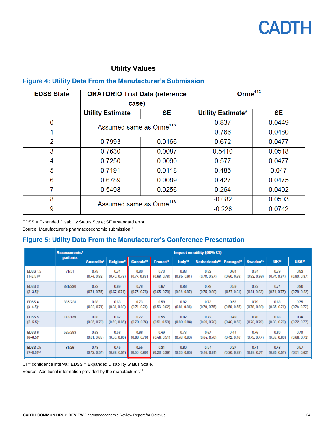

### **Utility Values**

### <span id="page-23-0"></span>**Figure 4: Utility Data From the Manufacturer's Submission**

| <b>EDSS State</b> | <b>ORATORIO Trial Data (reference</b> |           | Orm $e^{113}$     |           |  |  |
|-------------------|---------------------------------------|-----------|-------------------|-----------|--|--|
|                   | case)                                 |           |                   |           |  |  |
|                   | <b>Utility Estimate</b>               | <b>SE</b> | Utility Estimate* | <b>SE</b> |  |  |
| 0                 | Assumed same as Orme <sup>113</sup>   |           | 0.837             | 0.0449    |  |  |
|                   |                                       |           | 0.766             | 0.0480    |  |  |
| $\overline{2}$    | 0.7993                                | 0.0166    | 0.672             | 0.0477    |  |  |
| 3                 | 0.7630                                | 0.0087    | 0.5410            | 0.0518    |  |  |
| 4                 | 0.7250                                | 0.0090    | 0.577             | 0.0477    |  |  |
| 5                 | 0.7191<br>0.0118                      |           | 0.485             | 0.047     |  |  |
| 6                 | 0.6789<br>0.0089                      |           | 0.427             | 0.0475    |  |  |
| 7                 | 0.5498                                | 0.0256    | 0.264             | 0.0492    |  |  |
| 8                 | Assumed same as Orme <sup>113</sup>   |           | $-0.082$          | 0.0503    |  |  |
| 9                 |                                       |           | $-0.228$          | 0.0742    |  |  |

EDSS = Expanded Disability Status Scale; SE = standard error.

Source: Manufacturer's pharmacoeconomic submission.<sup>4</sup>

### <span id="page-23-1"></span>**Figure 5: Utility Data From the Manufacturer's Conference Presentation**

|                          | <b>Assessments/</b> | Impact on utility (95% CI)   |                            |                      |                      |                     |                           |                        |                      |                  |                   |
|--------------------------|---------------------|------------------------------|----------------------------|----------------------|----------------------|---------------------|---------------------------|------------------------|----------------------|------------------|-------------------|
|                          | <b>patients</b>     | <b>Australia<sup>8</sup></b> | <b>Belgium<sup>9</sup></b> | Canada <sup>10</sup> | France <sup>11</sup> | Italy <sup>12</sup> | Netherlands <sup>13</sup> | Portugal <sup>14</sup> | Sweden <sup>15</sup> | UK <sup>16</sup> | USA <sup>17</sup> |
| <b>EDSS 1.5</b>          | 71/51               | 0.78                         | 0.74                       | 0.80                 | 0.73                 | 0.88                | 0.82                      | 0.64                   | 0.84                 | 0.79             | 0.83              |
| $(1-2.5)^{a,b}$          |                     | (0.74, 0.82)                 | (0.70, 0.78)               | (0.77, 0.83)         | (0.68, 0.78)         | (0.85, 0.91)        | (0.78, 0.87)              | (0.60, 0.68)           | (0.82, 0.86)         | (0.74, 0.84)     | (0.80, 0.87)      |
| <b>EDSS3</b>             | 381/230             | 0.73                         | 0.69                       | 0.76                 | 0.67                 | 0.86                | 0.78                      | 0.59                   | 0.82                 | 0.74             | 0.80              |
| $(3-3.5)^{b}$            |                     | (0.71, 0.75)                 | (0.67, 0.71)               | (0.75, 0.78)         | (0.65, 0.70)         | (0.84, 0.87)        | (0.75, 0.80)              | (0.57, 0.61)           | (0.81, 0.83)         | (0.71, 0.77)     | (0.78, 0.82)      |
| <b>EDSS 4</b>            | 385/231             | 0.68                         | 0.63                       | 0.73                 | 0.59                 | 0.82                | 0.73                      | 0.52                   | 0.79                 | 0.68             | 0.75              |
| $(4-4.5)^{b}$            |                     | (0.66, 0.71)                 | (0.61, 0.66)               | (0.71, 0.74)         | (0.56, 0.62)         | (0.81, 0.84)        | (0.70, 0.75)              | (0.50, 0.55)           | (0.78, 0.80)         | (0.65, 0.71)     | (0.74, 0.77)      |
| EDSS <sub>5</sub>        | 173/129             | 0.68                         | 0.62                       | 0.72                 | 0.55                 | 0.82                | 0.72                      | 0.49                   | 0.78                 | 0.66             | 0.74              |
| $(5-5.5)$ <sup>o</sup>   |                     | (0.65, 0.70)                 | (0.59, 0.65)               | (0.70, 0.74)         | (0.51, 0.59)         | (0.80, 0.84)        | (0.69, 0.76)              | (0.46, 0.52)           | (0.76, 0.79)         | (0.63, 0.70)     | (0.72, 0.77)      |
| EDSS <sub>6</sub>        | 525/283             | 0.63                         | 0.58                       | 0.68                 | 0.49                 | 0.78                | 0.67                      | 0.44                   | 0.76                 | 0.60             | 0.70              |
| $(6-6.5)$ <sup>o</sup>   |                     | (0.61, 0.65)                 | (0.55, 0.60)               | (0.66, 0.70)         | (0.46, 0.51)         | (0.76, 0.80)        | (0.64, 0.70)              | (0.42, 0.46)           | (0.75, 0.77)         | (0.58, 0.63)     | (0.68, 0.72)      |
| <b>EDSS 7.5</b>          | 31/26               | 0.48                         | 0.45                       | 0.55                 | 0.31                 | 0.60                | 0.54                      | 0.27                   | 0.71                 | 0.43             | 0.57              |
| $(7-8.5)$ <sup>c,d</sup> |                     | (0.42, 0.54)                 | (0.38, 0.51)               | (0.50, 0.60)         | (0.23, 0.39)         | (0.55, 0.65)        | (0.46, 0.61)              | (0.20, 0.33)           | (0.68, 0.74)         | (0.35, 0.51)     | (0.51, 0.62)      |

CI = confidence interval; EDSS = Expanded Disability Status Scale.

Source: Additional information provided by the manufacturer.<sup>11</sup>